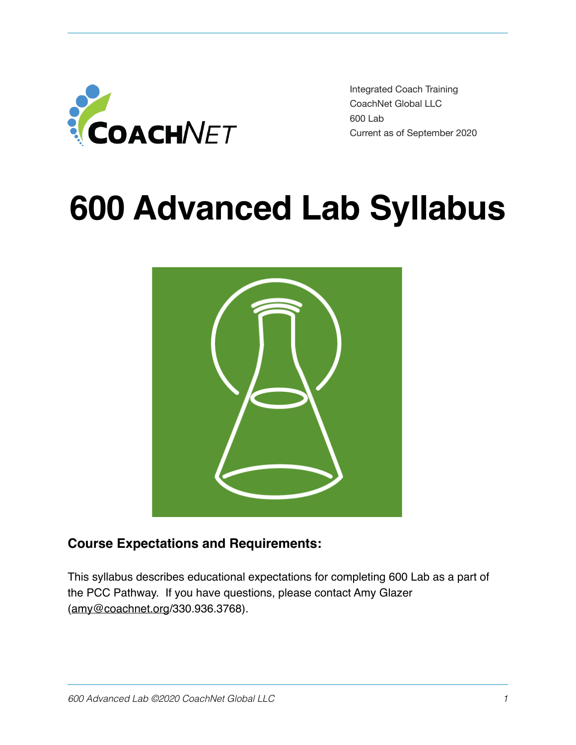

Integrated Coach Training CoachNet Global LLC 600 Lab Current as of September 2020

# **600 Advanced Lab Syllabus**



# **Course Expectations and Requirements:**

This syllabus describes educational expectations for completing 600 Lab as a part of the PCC Pathway. If you have questions, please contact Amy Glazer ([amy@coachnet.org](mailto:amy@coachnet.org)/330.936.3768).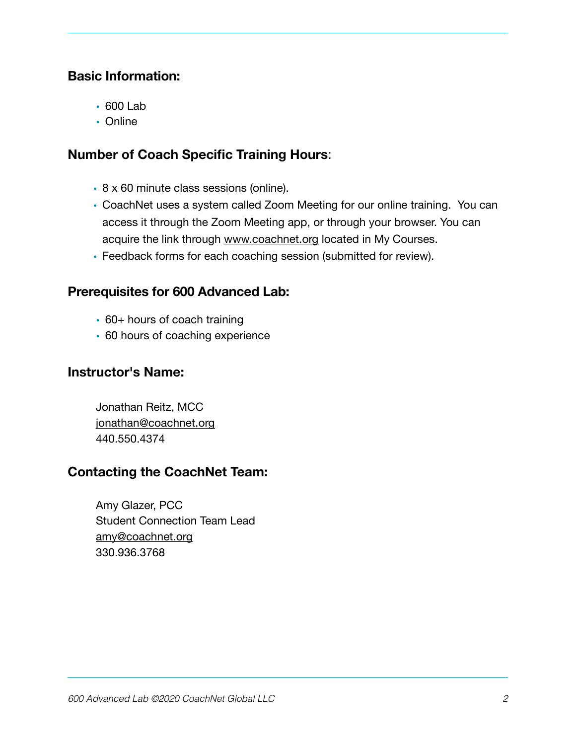#### **Basic Information:**

- 600 Lab
- Online

#### **Number of Coach Specific Training Hours**:

- 8 x 60 minute class sessions (online).
- CoachNet uses a system called Zoom Meeting for our online training. You can access it through the Zoom Meeting app, or through your browser. You can acquire the link through [www.coachnet.org](http://www.coachnet.org) located in My Courses.
- Feedback forms for each coaching session (submitted for review).

#### **Prerequisites for 600 Advanced Lab:**

- 60+ hours of coach training
- 60 hours of coaching experience

#### **Instructor's Name:**

Jonathan Reitz, MCC [jonathan@coachnet.org](mailto:jonathan@coachnet.org) 440.550.4374

#### **Contacting the CoachNet Team:**

Amy Glazer, PCC Student Connection Team Lead [amy@coachnet.org](mailto:amy@coachnet.org) 330.936.3768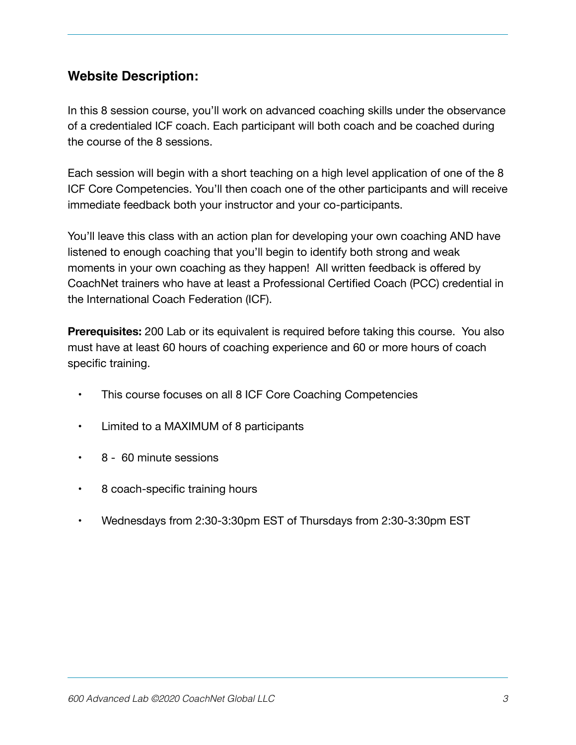#### **Website Description:**

In this 8 session course, you'll work on advanced coaching skills under the observance of a credentialed ICF coach. Each participant will both coach and be coached during the course of the 8 sessions.

Each session will begin with a short teaching on a high level application of one of the 8 ICF Core Competencies. You'll then coach one of the other participants and will receive immediate feedback both your instructor and your co-participants.

You'll leave this class with an action plan for developing your own coaching AND have listened to enough coaching that you'll begin to identify both strong and weak moments in your own coaching as they happen! All written feedback is offered by CoachNet trainers who have at least a Professional Certified Coach (PCC) credential in the International Coach Federation (ICF).

**Prerequisites:** 200 Lab or its equivalent is required before taking this course. You also must have at least 60 hours of coaching experience and 60 or more hours of coach specific training.

- This course focuses on all 8 ICF Core Coaching Competencies
- • Limited to a MAXIMUM of 8 participants
- 8 60 minute sessions
- 8 coach-specific training hours
- Wednesdays from 2:30-3:30pm EST of Thursdays from 2:30-3:30pm EST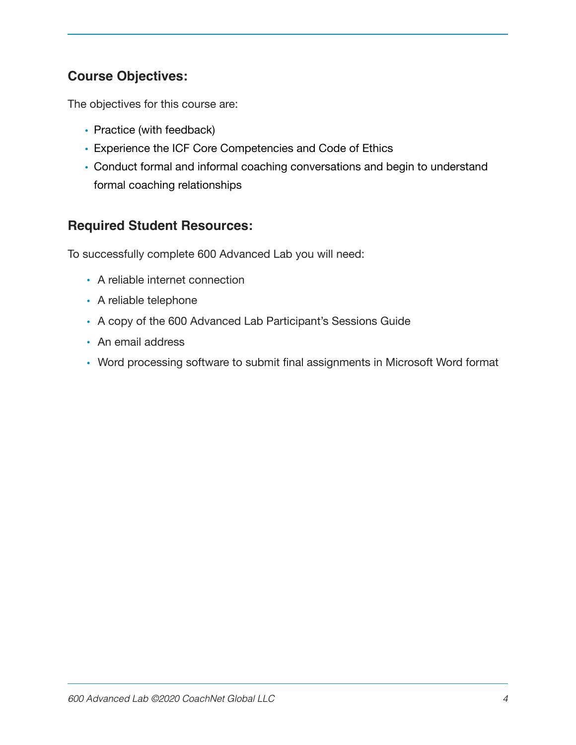#### **Course Objectives:**

The objectives for this course are:

- Practice (with feedback)
- Experience the ICF Core Competencies and Code of Ethics
- Conduct formal and informal coaching conversations and begin to understand formal coaching relationships

#### **Required Student Resources:**

To successfully complete 600 Advanced Lab you will need:

- A reliable internet connection
- A reliable telephone
- A copy of the 600 Advanced Lab Participant's Sessions Guide
- An email address
- Word processing software to submit final assignments in Microsoft Word format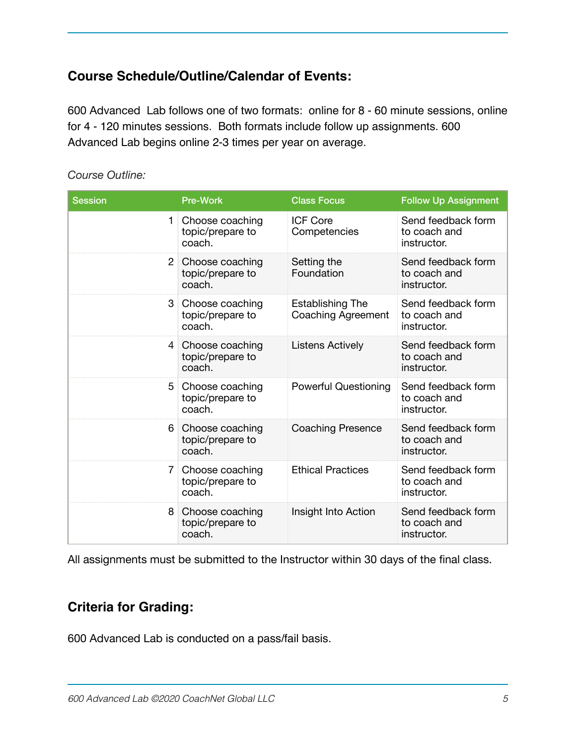# **Course Schedule/Outline/Calendar of Events:**

600 Advanced Lab follows one of two formats: online for 8 - 60 minute sessions, online for 4 - 120 minutes sessions. Both formats include follow up assignments. 600 Advanced Lab begins online 2-3 times per year on average.

| <b>Session</b> | <b>Pre-Work</b>                               | <b>Class Focus</b>                                   | <b>Follow Up Assignment</b>                       |
|----------------|-----------------------------------------------|------------------------------------------------------|---------------------------------------------------|
| 1              | Choose coaching<br>topic/prepare to<br>coach. | <b>ICF Core</b><br>Competencies                      | Send feedback form<br>to coach and<br>instructor. |
| $\overline{2}$ | Choose coaching<br>topic/prepare to<br>coach. | Setting the<br>Foundation                            | Send feedback form<br>to coach and<br>instructor. |
| 3              | Choose coaching<br>topic/prepare to<br>coach. | <b>Establishing The</b><br><b>Coaching Agreement</b> | Send feedback form<br>to coach and<br>instructor. |
| 4              | Choose coaching<br>topic/prepare to<br>coach. | <b>Listens Actively</b>                              | Send feedback form<br>to coach and<br>instructor. |
| 5              | Choose coaching<br>topic/prepare to<br>coach. | <b>Powerful Questioning</b>                          | Send feedback form<br>to coach and<br>instructor. |
| 6              | Choose coaching<br>topic/prepare to<br>coach. | <b>Coaching Presence</b>                             | Send feedback form<br>to coach and<br>instructor. |
| 7              | Choose coaching<br>topic/prepare to<br>coach. | <b>Ethical Practices</b>                             | Send feedback form<br>to coach and<br>instructor. |
| 8              | Choose coaching<br>topic/prepare to<br>coach. | Insight Into Action                                  | Send feedback form<br>to coach and<br>instructor. |

#### *Course Outline:*

All assignments must be submitted to the Instructor within 30 days of the final class.

#### **Criteria for Grading:**

600 Advanced Lab is conducted on a pass/fail basis.